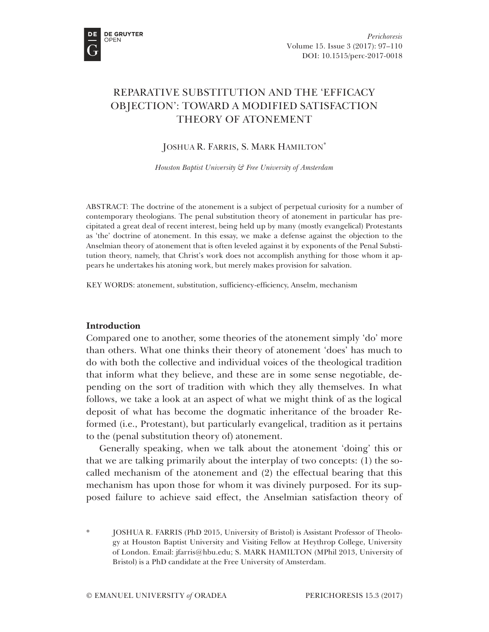

# REPARATIVE SUBSTITUTION AND THE 'EFFICACY OBJECTION': TOWARD A MODIFIED SATISFACTION THEORY OF ATONEMENT

JOSHUA R. FARRIS, S. MARK HAMILTON<sup>\*</sup>

*Houston Baptist University & Free University of Amsterdam*

ABSTRACT: The doctrine of the atonement is a subject of perpetual curiosity for a number of contemporary theologians. The penal substitution theory of atonement in particular has precipitated a great deal of recent interest, being held up by many (mostly evangelical) Protestants as 'the' doctrine of atonement. In this essay, we make a defense against the objection to the Anselmian theory of atonement that is often leveled against it by exponents of the Penal Substitution theory, namely, that Christ's work does not accomplish anything for those whom it appears he undertakes his atoning work, but merely makes provision for salvation.

KEY WORDS: atonement, substitution, sufficiency-efficiency, Anselm, mechanism

## **Introduction**

Compared one to another, some theories of the atonement simply 'do' more than others. What one thinks their theory of atonement 'does' has much to do with both the collective and individual voices of the theological tradition that inform what they believe, and these are in some sense negotiable, depending on the sort of tradition with which they ally themselves. In what follows, we take a look at an aspect of what we might think of as the logical deposit of what has become the dogmatic inheritance of the broader Reformed (i.e., Protestant), but particularly evangelical, tradition as it pertains to the (penal substitution theory of) atonement.

Generally speaking, when we talk about the atonement 'doing' this or that we are talking primarily about the interplay of two concepts: (1) the socalled mechanism of the atonement and (2) the effectual bearing that this mechanism has upon those for whom it was divinely purposed. For its supposed failure to achieve said effect, the Anselmian satisfaction theory of

\* JOSHUA R. FARRIS (PhD 2015, University of Bristol) is Assistant Professor of Theology at Houston Baptist University and Visiting Fellow at Heythrop College, University of London. Email: jfarris@hbu.edu; S. MARK HAMILTON (MPhil 2013, University of Bristol) is a PhD candidate at the Free University of Amsterdam.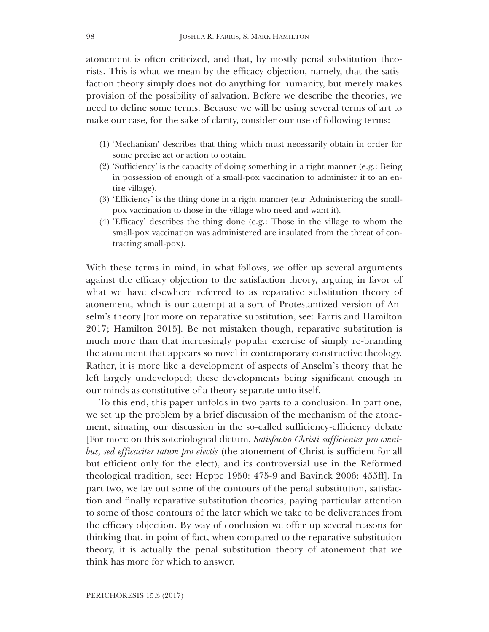atonement is often criticized, and that, by mostly penal substitution theorists. This is what we mean by the efficacy objection, namely, that the satisfaction theory simply does not do anything for humanity, but merely makes provision of the possibility of salvation. Before we describe the theories, we need to define some terms. Because we will be using several terms of art to make our case, for the sake of clarity, consider our use of following terms:

- (1) 'Mechanism' describes that thing which must necessarily obtain in order for some precise act or action to obtain.
- (2) 'Sufficiency' is the capacity of doing something in a right manner (e.g.: Being in possession of enough of a small-pox vaccination to administer it to an entire village).
- (3) 'Efficiency' is the thing done in a right manner (e.g: Administering the smallpox vaccination to those in the village who need and want it).
- (4) 'Efficacy' describes the thing done (e.g.: Those in the village to whom the small-pox vaccination was administered are insulated from the threat of contracting small-pox).

With these terms in mind, in what follows, we offer up several arguments against the efficacy objection to the satisfaction theory, arguing in favor of what we have elsewhere referred to as reparative substitution theory of atonement, which is our attempt at a sort of Protestantized version of Anselm's theory [for more on reparative substitution, see: Farris and Hamilton 2017; Hamilton 2015]. Be not mistaken though, reparative substitution is much more than that increasingly popular exercise of simply re-branding the atonement that appears so novel in contemporary constructive theology. Rather, it is more like a development of aspects of Anselm's theory that he left largely undeveloped; these developments being significant enough in our minds as constitutive of a theory separate unto itself.

To this end, this paper unfolds in two parts to a conclusion. In part one, we set up the problem by a brief discussion of the mechanism of the atonement, situating our discussion in the so-called sufficiency-efficiency debate [For more on this soteriological dictum, *Satisfactio Christi sufficienter pro omnibus, sed efficaciter tatum pro electis* (the atonement of Christ is sufficient for all but efficient only for the elect), and its controversial use in the Reformed theological tradition, see: Heppe 1950: 475-9 and Bavinck 2006: 455ff]. In part two, we lay out some of the contours of the penal substitution, satisfaction and finally reparative substitution theories, paying particular attention to some of those contours of the later which we take to be deliverances from the efficacy objection. By way of conclusion we offer up several reasons for thinking that, in point of fact, when compared to the reparative substitution theory, it is actually the penal substitution theory of atonement that we think has more for which to answer.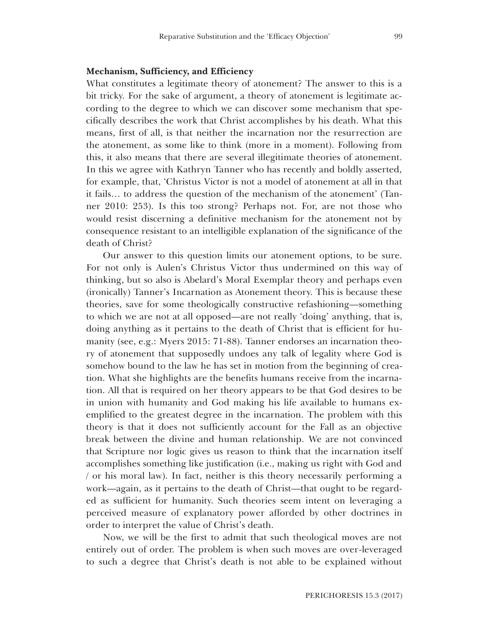## **Mechanism, Sufficiency, and Efficiency**

What constitutes a legitimate theory of atonement? The answer to this is a bit tricky. For the sake of argument, a theory of atonement is legitimate according to the degree to which we can discover some mechanism that specifically describes the work that Christ accomplishes by his death. What this means, first of all, is that neither the incarnation nor the resurrection are the atonement, as some like to think (more in a moment). Following from this, it also means that there are several illegitimate theories of atonement. In this we agree with Kathryn Tanner who has recently and boldly asserted, for example, that, 'Christus Victor is not a model of atonement at all in that it fails… to address the question of the mechanism of the atonement' (Tanner 2010: 253). Is this too strong? Perhaps not. For, are not those who would resist discerning a definitive mechanism for the atonement not by consequence resistant to an intelligible explanation of the significance of the death of Christ?

Our answer to this question limits our atonement options, to be sure. For not only is Aulen's Christus Victor thus undermined on this way of thinking, but so also is Abelard's Moral Exemplar theory and perhaps even (ironically) Tanner's Incarnation as Atonement theory. This is because these theories, save for some theologically constructive refashioning—something to which we are not at all opposed—are not really 'doing' anything, that is, doing anything as it pertains to the death of Christ that is efficient for humanity (see, e.g.: Myers 2015: 71-88). Tanner endorses an incarnation theory of atonement that supposedly undoes any talk of legality where God is somehow bound to the law he has set in motion from the beginning of creation. What she highlights are the benefits humans receive from the incarnation. All that is required on her theory appears to be that God desires to be in union with humanity and God making his life available to humans exemplified to the greatest degree in the incarnation. The problem with this theory is that it does not sufficiently account for the Fall as an objective break between the divine and human relationship. We are not convinced that Scripture nor logic gives us reason to think that the incarnation itself accomplishes something like justification (i.e., making us right with God and / or his moral law). In fact, neither is this theory necessarily performing a work—again, as it pertains to the death of Christ—that ought to be regarded as sufficient for humanity. Such theories seem intent on leveraging a perceived measure of explanatory power afforded by other doctrines in order to interpret the value of Christ's death.

Now, we will be the first to admit that such theological moves are not entirely out of order. The problem is when such moves are over-leveraged to such a degree that Christ's death is not able to be explained without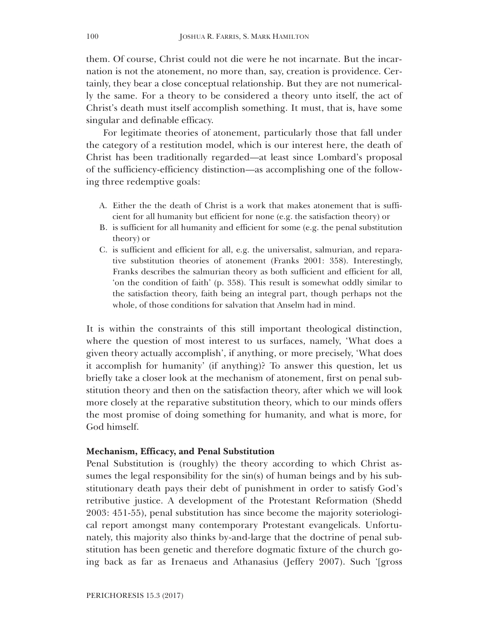them. Of course, Christ could not die were he not incarnate. But the incarnation is not the atonement, no more than, say, creation is providence. Certainly, they bear a close conceptual relationship. But they are not numerically the same. For a theory to be considered a theory unto itself, the act of Christ's death must itself accomplish something. It must, that is, have some singular and definable efficacy.

For legitimate theories of atonement, particularly those that fall under the category of a restitution model, which is our interest here, the death of Christ has been traditionally regarded—at least since Lombard's proposal of the sufficiency-efficiency distinction—as accomplishing one of the following three redemptive goals:

- A. Either the the death of Christ is a work that makes atonement that is sufficient for all humanity but efficient for none (e.g. the satisfaction theory) or
- B. is sufficient for all humanity and efficient for some (e.g. the penal substitution theory) or
- C. is sufficient and efficient for all, e.g. the universalist, salmurian, and reparative substitution theories of atonement (Franks 2001: 358). Interestingly, Franks describes the salmurian theory as both sufficient and efficient for all, 'on the condition of faith' (p. 358). This result is somewhat oddly similar to the satisfaction theory, faith being an integral part, though perhaps not the whole, of those conditions for salvation that Anselm had in mind.

It is within the constraints of this still important theological distinction, where the question of most interest to us surfaces, namely, 'What does a given theory actually accomplish', if anything, or more precisely, 'What does it accomplish for humanity' (if anything)? To answer this question, let us briefly take a closer look at the mechanism of atonement, first on penal substitution theory and then on the satisfaction theory, after which we will look more closely at the reparative substitution theory, which to our minds offers the most promise of doing something for humanity, and what is more, for God himself.

#### **Mechanism, Efficacy, and Penal Substitution**

Penal Substitution is (roughly) the theory according to which Christ assumes the legal responsibility for the sin(s) of human beings and by his substitutionary death pays their debt of punishment in order to satisfy God's retributive justice. A development of the Protestant Reformation (Shedd 2003: 451-55), penal substitution has since become the majority soteriological report amongst many contemporary Protestant evangelicals. Unfortunately, this majority also thinks by-and-large that the doctrine of penal substitution has been genetic and therefore dogmatic fixture of the church going back as far as Irenaeus and Athanasius (Jeffery 2007). Such '[gross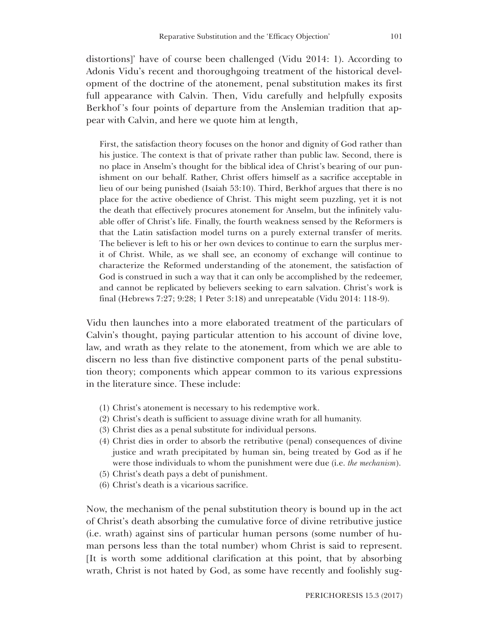distortions]' have of course been challenged (Vidu 2014: 1). According to Adonis Vidu's recent and thoroughgoing treatment of the historical development of the doctrine of the atonement, penal substitution makes its first full appearance with Calvin. Then, Vidu carefully and helpfully exposits Berkhof 's four points of departure from the Anslemian tradition that appear with Calvin, and here we quote him at length,

First, the satisfaction theory focuses on the honor and dignity of God rather than his justice. The context is that of private rather than public law. Second, there is no place in Anselm's thought for the biblical idea of Christ's bearing of our punishment on our behalf. Rather, Christ offers himself as a sacrifice acceptable in lieu of our being punished (Isaiah 53:10). Third, Berkhof argues that there is no place for the active obedience of Christ. This might seem puzzling, yet it is not the death that effectively procures atonement for Anselm, but the infinitely valuable offer of Christ's life. Finally, the fourth weakness sensed by the Reformers is that the Latin satisfaction model turns on a purely external transfer of merits. The believer is left to his or her own devices to continue to earn the surplus merit of Christ. While, as we shall see, an economy of exchange will continue to characterize the Reformed understanding of the atonement, the satisfaction of God is construed in such a way that it can only be accomplished by the redeemer, and cannot be replicated by believers seeking to earn salvation. Christ's work is final (Hebrews 7:27; 9:28; 1 Peter 3:18) and unrepeatable (Vidu 2014: 118-9).

Vidu then launches into a more elaborated treatment of the particulars of Calvin's thought, paying particular attention to his account of divine love, law, and wrath as they relate to the atonement, from which we are able to discern no less than five distinctive component parts of the penal substitution theory; components which appear common to its various expressions in the literature since. These include:

- (1) Christ's atonement is necessary to his redemptive work.
- (2) Christ's death is sufficient to assuage divine wrath for all humanity.
- (3) Christ dies as a penal substitute for individual persons.
- (4) Christ dies in order to absorb the retributive (penal) consequences of divine justice and wrath precipitated by human sin, being treated by God as if he were those individuals to whom the punishment were due (i.e. *the mechanism*).
- (5) Christ's death pays a debt of punishment.
- (6) Christ's death is a vicarious sacrifice.

Now, the mechanism of the penal substitution theory is bound up in the act of Christ's death absorbing the cumulative force of divine retributive justice (i.e. wrath) against sins of particular human persons (some number of human persons less than the total number) whom Christ is said to represent. [It is worth some additional clarification at this point, that by absorbing wrath, Christ is not hated by God, as some have recently and foolishly sug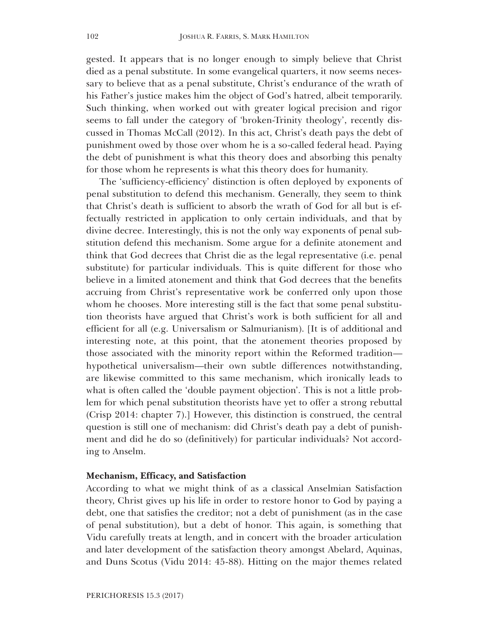gested. It appears that is no longer enough to simply believe that Christ died as a penal substitute. In some evangelical quarters, it now seems necessary to believe that as a penal substitute, Christ's endurance of the wrath of his Father's justice makes him the object of God's hatred, albeit temporarily. Such thinking, when worked out with greater logical precision and rigor seems to fall under the category of 'broken-Trinity theology', recently discussed in Thomas McCall (2012). In this act, Christ's death pays the debt of punishment owed by those over whom he is a so-called federal head. Paying the debt of punishment is what this theory does and absorbing this penalty for those whom he represents is what this theory does for humanity.

The 'sufficiency-efficiency' distinction is often deployed by exponents of penal substitution to defend this mechanism. Generally, they seem to think that Christ's death is sufficient to absorb the wrath of God for all but is effectually restricted in application to only certain individuals, and that by divine decree. Interestingly, this is not the only way exponents of penal substitution defend this mechanism. Some argue for a definite atonement and think that God decrees that Christ die as the legal representative (i.e. penal substitute) for particular individuals. This is quite different for those who believe in a limited atonement and think that God decrees that the benefits accruing from Christ's representative work be conferred only upon those whom he chooses. More interesting still is the fact that some penal substitution theorists have argued that Christ's work is both sufficient for all and efficient for all (e.g. Universalism or Salmurianism). [It is of additional and interesting note, at this point, that the atonement theories proposed by those associated with the minority report within the Reformed tradition hypothetical universalism—their own subtle differences notwithstanding, are likewise committed to this same mechanism, which ironically leads to what is often called the 'double payment objection'. This is not a little problem for which penal substitution theorists have yet to offer a strong rebuttal (Crisp 2014: chapter 7).] However, this distinction is construed, the central question is still one of mechanism: did Christ's death pay a debt of punishment and did he do so (definitively) for particular individuals? Not according to Anselm.

#### **Mechanism, Efficacy, and Satisfaction**

According to what we might think of as a classical Anselmian Satisfaction theory, Christ gives up his life in order to restore honor to God by paying a debt, one that satisfies the creditor; not a debt of punishment (as in the case of penal substitution), but a debt of honor. This again, is something that Vidu carefully treats at length, and in concert with the broader articulation and later development of the satisfaction theory amongst Abelard, Aquinas, and Duns Scotus (Vidu 2014: 45-88). Hitting on the major themes related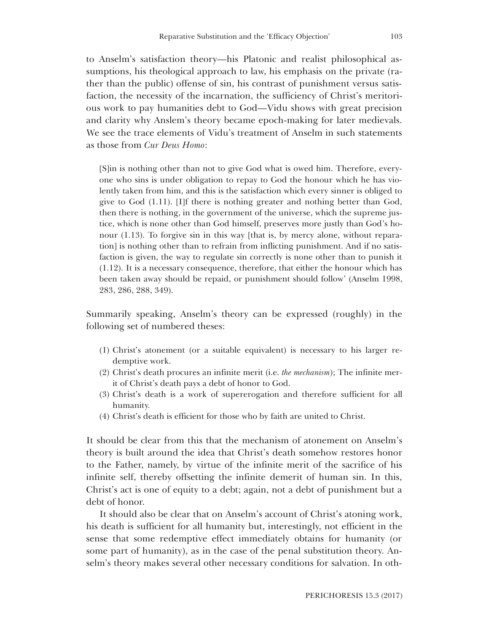to Anselm's satisfaction theory—his Platonic and realist philosophical assumptions, his theological approach to law, his emphasis on the private (rather than the public) offense of sin, his contrast of punishment versus satisfaction, the necessity of the incarnation, the sufficiency of Christ's meritorious work to pay humanities debt to God—Vidu shows with great precision and clarity why Anslem's theory became epoch-making for later medievals. We see the trace elements of Vidu's treatment of Anselm in such statements as those from *Cur Deus Homo*:

[S]in is nothing other than not to give God what is owed him. Therefore, everyone who sins is under obligation to repay to God the honour which he has violently taken from him, and this is the satisfaction which every sinner is obliged to give to God (1.11). [I]f there is nothing greater and nothing better than God, then there is nothing, in the government of the universe, which the supreme justice, which is none other than God himself, preserves more justly than God's honour (1.13). To forgive sin in this way [that is, by mercy alone, without reparation] is nothing other than to refrain from inflicting punishment. And if no satisfaction is given, the way to regulate sin correctly is none other than to punish it (1.12). It is a necessary consequence, therefore, that either the honour which has been taken away should be repaid, or punishment should follow' (Anselm 1998, 283, 286, 288, 349).

Summarily speaking, Anselm's theory can be expressed (roughly) in the following set of numbered theses:

- (1) Christ's atonement (or a suitable equivalent) is necessary to his larger redemptive work.
- (2) Christ's death procures an infinite merit (i.e. *the mechanism*); The infinite merit of Christ's death pays a debt of honor to God.
- (3) Christ's death is a work of supererogation and therefore sufficient for all humanity.
- (4) Christ's death is efficient for those who by faith are united to Christ.

It should be clear from this that the mechanism of atonement on Anselm's theory is built around the idea that Christ's death somehow restores honor to the Father, namely, by virtue of the infinite merit of the sacrifice of his infinite self, thereby offsetting the infinite demerit of human sin. In this, Christ's act is one of equity to a debt; again, not a debt of punishment but a debt of honor.

It should also be clear that on Anselm's account of Christ's atoning work, his death is sufficient for all humanity but, interestingly, not efficient in the sense that some redemptive effect immediately obtains for humanity (or some part of humanity), as in the case of the penal substitution theory. Anselm's theory makes several other necessary conditions for salvation. In oth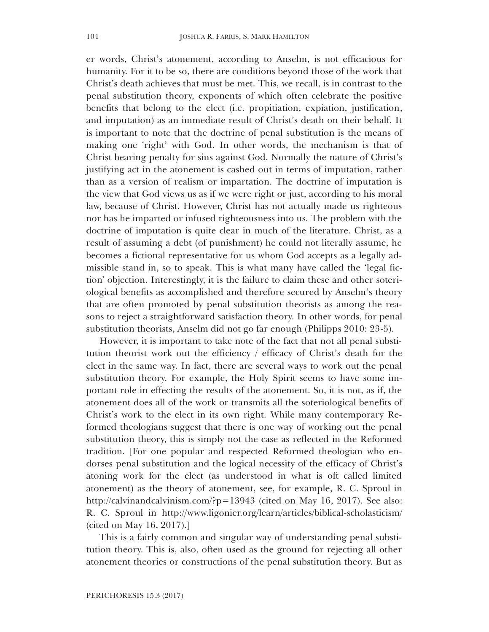er words, Christ's atonement, according to Anselm, is not efficacious for humanity. For it to be so, there are conditions beyond those of the work that Christ's death achieves that must be met. This, we recall, is in contrast to the penal substitution theory, exponents of which often celebrate the positive benefits that belong to the elect (i.e. propitiation, expiation, justification, and imputation) as an immediate result of Christ's death on their behalf. It is important to note that the doctrine of penal substitution is the means of making one 'right' with God. In other words, the mechanism is that of Christ bearing penalty for sins against God. Normally the nature of Christ's justifying act in the atonement is cashed out in terms of imputation, rather than as a version of realism or impartation. The doctrine of imputation is the view that God views us as if we were right or just, according to his moral law, because of Christ. However, Christ has not actually made us righteous nor has he imparted or infused righteousness into us. The problem with the doctrine of imputation is quite clear in much of the literature. Christ, as a result of assuming a debt (of punishment) he could not literally assume, he becomes a fictional representative for us whom God accepts as a legally admissible stand in, so to speak. This is what many have called the 'legal fiction' objection. Interestingly, it is the failure to claim these and other soteriological benefits as accomplished and therefore secured by Anselm's theory that are often promoted by penal substitution theorists as among the reasons to reject a straightforward satisfaction theory. In other words, for penal substitution theorists, Anselm did not go far enough (Philipps 2010: 23-5).

However, it is important to take note of the fact that not all penal substitution theorist work out the efficiency / efficacy of Christ's death for the elect in the same way. In fact, there are several ways to work out the penal substitution theory. For example, the Holy Spirit seems to have some important role in effecting the results of the atonement. So, it is not, as if, the atonement does all of the work or transmits all the soteriological benefits of Christ's work to the elect in its own right. While many contemporary Reformed theologians suggest that there is one way of working out the penal substitution theory, this is simply not the case as reflected in the Reformed tradition. [For one popular and respected Reformed theologian who endorses penal substitution and the logical necessity of the efficacy of Christ's atoning work for the elect (as understood in what is oft called limited atonement) as the theory of atonement, see, for example, R. C. Sproul in http://calvinandcalvinism.com/?p=13943 (cited on May 16, 2017). See also: R. C. Sproul in http://www.ligonier.org/learn/articles/biblical-scholasticism/ (cited on May 16, 2017).]

This is a fairly common and singular way of understanding penal substitution theory. This is, also, often used as the ground for rejecting all other atonement theories or constructions of the penal substitution theory. But as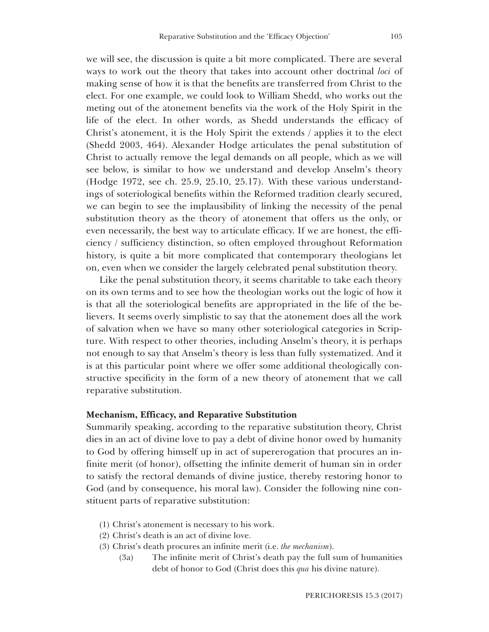we will see, the discussion is quite a bit more complicated. There are several ways to work out the theory that takes into account other doctrinal *loci* of making sense of how it is that the benefits are transferred from Christ to the elect. For one example, we could look to William Shedd, who works out the meting out of the atonement benefits via the work of the Holy Spirit in the life of the elect. In other words, as Shedd understands the efficacy of Christ's atonement, it is the Holy Spirit the extends / applies it to the elect (Shedd 2003, 464). Alexander Hodge articulates the penal substitution of Christ to actually remove the legal demands on all people, which as we will see below, is similar to how we understand and develop Anselm's theory (Hodge 1972, see ch. 25.9, 25.10, 25.17). With these various understandings of soteriological benefits within the Reformed tradition clearly secured, we can begin to see the implausibility of linking the necessity of the penal substitution theory as the theory of atonement that offers us the only, or even necessarily, the best way to articulate efficacy. If we are honest, the efficiency / sufficiency distinction, so often employed throughout Reformation history, is quite a bit more complicated that contemporary theologians let on, even when we consider the largely celebrated penal substitution theory.

Like the penal substitution theory, it seems charitable to take each theory on its own terms and to see how the theologian works out the logic of how it is that all the soteriological benefits are appropriated in the life of the believers. It seems overly simplistic to say that the atonement does all the work of salvation when we have so many other soteriological categories in Scripture. With respect to other theories, including Anselm's theory, it is perhaps not enough to say that Anselm's theory is less than fully systematized. And it is at this particular point where we offer some additional theologically constructive specificity in the form of a new theory of atonement that we call reparative substitution.

#### **Mechanism, Efficacy, and Reparative Substitution**

Summarily speaking, according to the reparative substitution theory, Christ dies in an act of divine love to pay a debt of divine honor owed by humanity to God by offering himself up in act of supererogation that procures an infinite merit (of honor), offsetting the infinite demerit of human sin in order to satisfy the rectoral demands of divine justice, thereby restoring honor to God (and by consequence, his moral law). Consider the following nine constituent parts of reparative substitution:

- (1) Christ's atonement is necessary to his work.
- (2) Christ's death is an act of divine love.
- (3) Christ's death procures an infinite merit (i.e. *the mechanism*).
	- (3a) The infinite merit of Christ's death pay the full sum of humanities debt of honor to God (Christ does this *qua* his divine nature).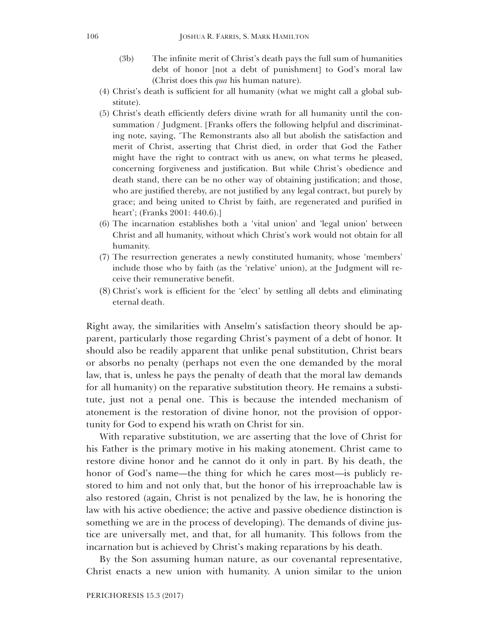- (3b) The infinite merit of Christ's death pays the full sum of humanities debt of honor [not a debt of punishment] to God's moral law (Christ does this *qua* his human nature).
- (4) Christ's death is sufficient for all humanity (what we might call a global substitute).
- (5) Christ's death efficiently defers divine wrath for all humanity until the consummation / Judgment. [Franks offers the following helpful and discriminating note, saying, 'The Remonstrants also all but abolish the satisfaction and merit of Christ, asserting that Christ died, in order that God the Father might have the right to contract with us anew, on what terms he pleased, concerning forgiveness and justification. But while Christ's obedience and death stand, there can be no other way of obtaining justification; and those, who are justified thereby, are not justified by any legal contract, but purely by grace; and being united to Christ by faith, are regenerated and purified in heart'; (Franks 2001: 440.6).]
- (6) The incarnation establishes both a 'vital union' and 'legal union' between Christ and all humanity, without which Christ's work would not obtain for all humanity.
- (7) The resurrection generates a newly constituted humanity, whose 'members' include those who by faith (as the 'relative' union), at the Judgment will receive their remunerative benefit.
- (8) Christ's work is efficient for the 'elect' by settling all debts and eliminating eternal death.

Right away, the similarities with Anselm's satisfaction theory should be apparent, particularly those regarding Christ's payment of a debt of honor. It should also be readily apparent that unlike penal substitution, Christ bears or absorbs no penalty (perhaps not even the one demanded by the moral law, that is, unless he pays the penalty of death that the moral law demands for all humanity) on the reparative substitution theory. He remains a substitute, just not a penal one. This is because the intended mechanism of atonement is the restoration of divine honor, not the provision of opportunity for God to expend his wrath on Christ for sin.

With reparative substitution, we are asserting that the love of Christ for his Father is the primary motive in his making atonement. Christ came to restore divine honor and he cannot do it only in part. By his death, the honor of God's name—the thing for which he cares most—is publicly restored to him and not only that, but the honor of his irreproachable law is also restored (again, Christ is not penalized by the law, he is honoring the law with his active obedience; the active and passive obedience distinction is something we are in the process of developing). The demands of divine justice are universally met, and that, for all humanity. This follows from the incarnation but is achieved by Christ's making reparations by his death.

By the Son assuming human nature, as our covenantal representative, Christ enacts a new union with humanity. A union similar to the union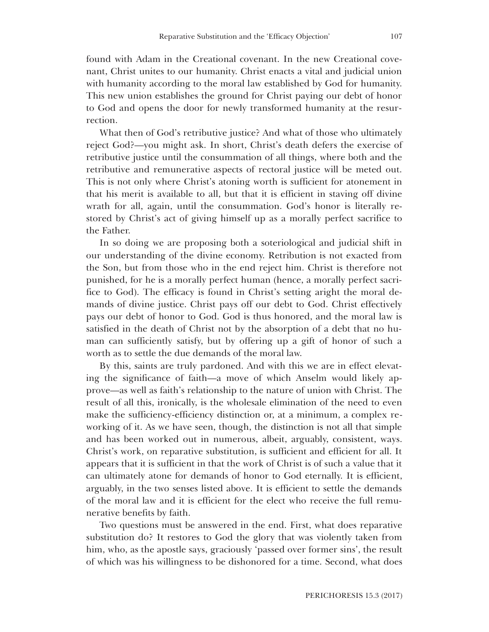found with Adam in the Creational covenant. In the new Creational covenant, Christ unites to our humanity. Christ enacts a vital and judicial union with humanity according to the moral law established by God for humanity. This new union establishes the ground for Christ paying our debt of honor to God and opens the door for newly transformed humanity at the resurrection.

What then of God's retributive justice? And what of those who ultimately reject God?—you might ask. In short, Christ's death defers the exercise of retributive justice until the consummation of all things, where both and the retributive and remunerative aspects of rectoral justice will be meted out. This is not only where Christ's atoning worth is sufficient for atonement in that his merit is available to all, but that it is efficient in staving off divine wrath for all, again, until the consummation. God's honor is literally restored by Christ's act of giving himself up as a morally perfect sacrifice to the Father.

In so doing we are proposing both a soteriological and judicial shift in our understanding of the divine economy. Retribution is not exacted from the Son, but from those who in the end reject him. Christ is therefore not punished, for he is a morally perfect human (hence, a morally perfect sacrifice to God). The efficacy is found in Christ's setting aright the moral demands of divine justice. Christ pays off our debt to God. Christ effectively pays our debt of honor to God. God is thus honored, and the moral law is satisfied in the death of Christ not by the absorption of a debt that no human can sufficiently satisfy, but by offering up a gift of honor of such a worth as to settle the due demands of the moral law.

By this, saints are truly pardoned. And with this we are in effect elevating the significance of faith—a move of which Anselm would likely approve—as well as faith's relationship to the nature of union with Christ. The result of all this, ironically, is the wholesale elimination of the need to even make the sufficiency-efficiency distinction or, at a minimum, a complex reworking of it. As we have seen, though, the distinction is not all that simple and has been worked out in numerous, albeit, arguably, consistent, ways. Christ's work, on reparative substitution, is sufficient and efficient for all. It appears that it is sufficient in that the work of Christ is of such a value that it can ultimately atone for demands of honor to God eternally. It is efficient, arguably, in the two senses listed above. It is efficient to settle the demands of the moral law and it is efficient for the elect who receive the full remunerative benefits by faith.

Two questions must be answered in the end. First, what does reparative substitution do? It restores to God the glory that was violently taken from him, who, as the apostle says, graciously 'passed over former sins', the result of which was his willingness to be dishonored for a time. Second, what does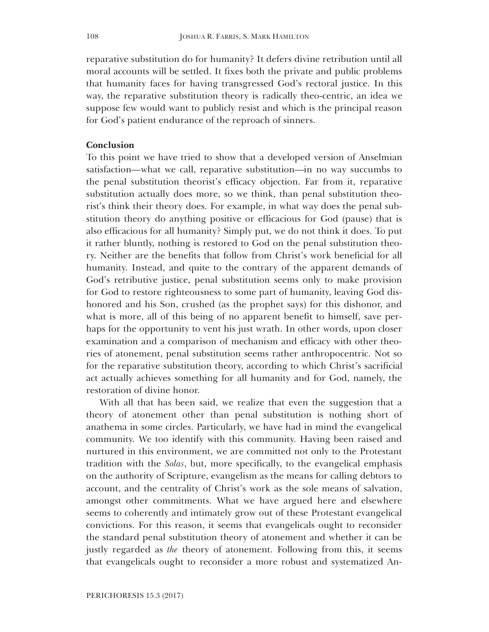reparative substitution do for humanity? It defers divine retribution until all moral accounts will be settled. It fixes both the private and public problems that humanity faces for having transgressed God's rectoral justice. In this way, the reparative substitution theory is radically theo-centric, an idea we suppose few would want to publicly resist and which is the principal reason for God's patient endurance of the reproach of sinners.

## **Conclusion**

To this point we have tried to show that a developed version of Anselmian satisfaction—what we call, reparative substitution—in no way succumbs to the penal substitution theorist's efficacy objection. Far from it, reparative substitution actually does more, so we think, than penal substitution theorist's think their theory does. For example, in what way does the penal substitution theory do anything positive or efficacious for God (pause) that is also efficacious for all humanity? Simply put, we do not think it does. To put it rather bluntly, nothing is restored to God on the penal substitution theory. Neither are the benefits that follow from Christ's work beneficial for all humanity. Instead, and quite to the contrary of the apparent demands of God's retributive justice, penal substitution seems only to make provision for God to restore righteousness to some part of humanity, leaving God dishonored and his Son, crushed (as the prophet says) for this dishonor, and what is more, all of this being of no apparent benefit to himself, save perhaps for the opportunity to vent his just wrath. In other words, upon closer examination and a comparison of mechanism and efficacy with other theories of atonement, penal substitution seems rather anthropocentric. Not so for the reparative substitution theory, according to which Christ's sacrificial act actually achieves something for all humanity and for God, namely, the restoration of divine honor.

With all that has been said, we realize that even the suggestion that a theory of atonement other than penal substitution is nothing short of anathema in some circles. Particularly, we have had in mind the evangelical community. We too identify with this community. Having been raised and nurtured in this environment, we are committed not only to the Protestant tradition with the *Solas*, but, more specifically, to the evangelical emphasis on the authority of Scripture, evangelism as the means for calling debtors to account, and the centrality of Christ's work as the sole means of salvation, amongst other commitments. What we have argued here and elsewhere seems to coherently and intimately grow out of these Protestant evangelical convictions. For this reason, it seems that evangelicals ought to reconsider the standard penal substitution theory of atonement and whether it can be justly regarded as *the* theory of atonement. Following from this, it seems that evangelicals ought to reconsider a more robust and systematized An-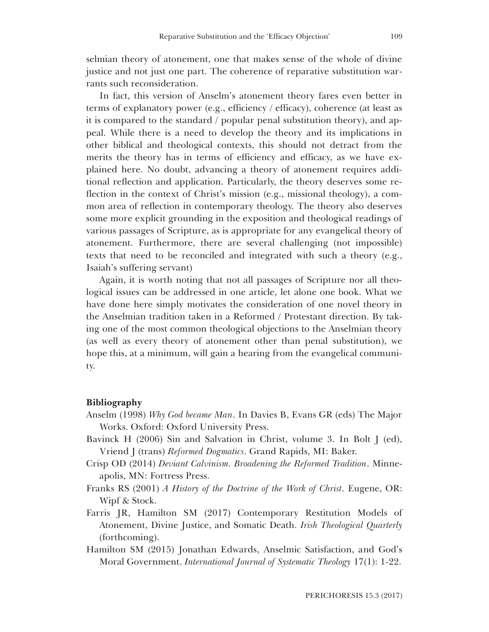selmian theory of atonement, one that makes sense of the whole of divine justice and not just one part. The coherence of reparative substitution warrants such reconsideration.

In fact, this version of Anselm's atonement theory fares even better in terms of explanatory power (e.g., efficiency / efficacy), coherence (at least as it is compared to the standard / popular penal substitution theory), and appeal. While there is a need to develop the theory and its implications in other biblical and theological contexts, this should not detract from the merits the theory has in terms of efficiency and efficacy, as we have explained here. No doubt, advancing a theory of atonement requires additional reflection and application. Particularly, the theory deserves some reflection in the context of Christ's mission (e.g., missional theology), a common area of reflection in contemporary theology. The theory also deserves some more explicit grounding in the exposition and theological readings of various passages of Scripture, as is appropriate for any evangelical theory of atonement. Furthermore, there are several challenging (not impossible) texts that need to be reconciled and integrated with such a theory (e.g., Isaiah's suffering servant)

Again, it is worth noting that not all passages of Scripture nor all theological issues can be addressed in one article, let alone one book. What we have done here simply motivates the consideration of one novel theory in the Anselmian tradition taken in a Reformed / Protestant direction. By taking one of the most common theological objections to the Anselmian theory (as well as every theory of atonement other than penal substitution), we hope this, at a minimum, will gain a hearing from the evangelical community.

## **Bibliography**

- Anselm (1998) *Why God became Man*. In Davies B, Evans GR (eds) The Major Works. Oxford: Oxford University Press.
- Bavinck H (2006) Sin and Salvation in Christ, volume 3. In Bolt J (ed), Vriend J (trans) *Reformed Dogmatics*. Grand Rapids, MI: Baker.
- Crisp OD (2014) *Deviant Calvinism. Broadening the Reformed Tradition*. Minneapolis, MN: Fortress Press.
- Franks RS (2001) *A History of the Doctrine of the Work of Christ*. Eugene, OR: Wipf & Stock.
- Farris JR, Hamilton SM (2017) Contemporary Restitution Models of Atonement, Divine Justice, and Somatic Death. *Irish Theological Quarterly* (forthcoming).
- Hamilton SM (2015) Jonathan Edwards, Anselmic Satisfaction, and God's Moral Government. *International Journal of Systematic Theology* 17(1): 1-22.